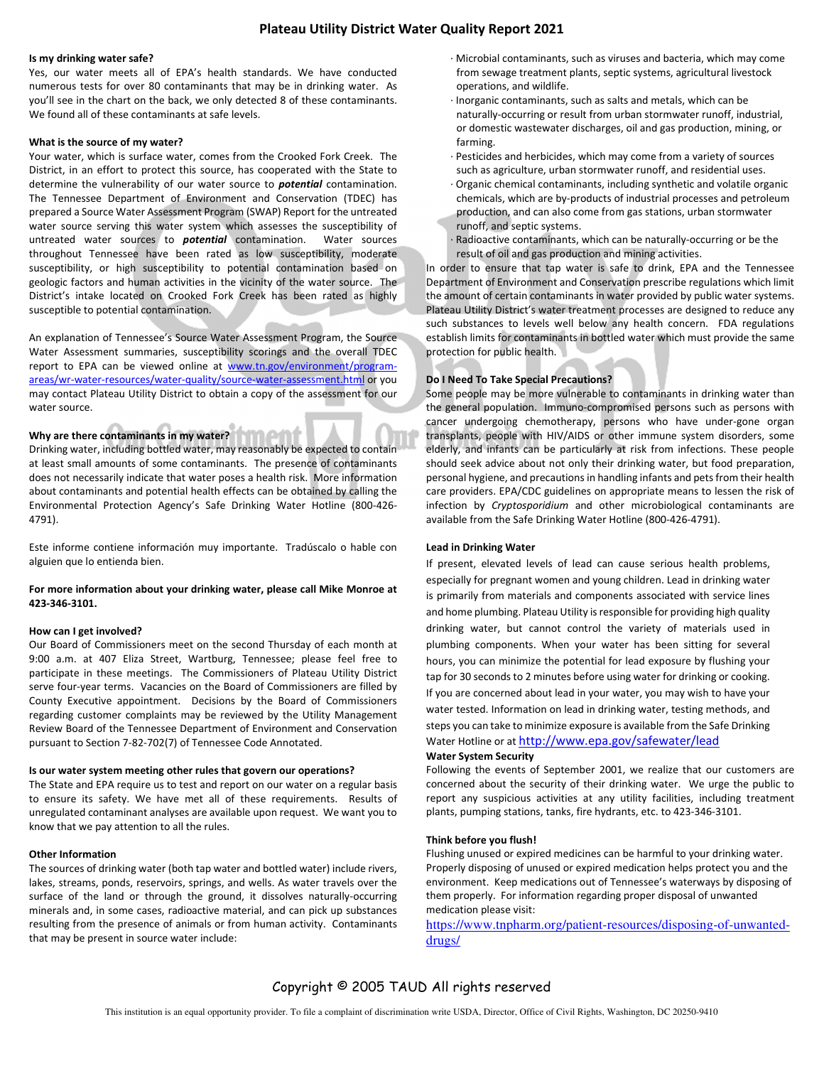# **Plateau Utility District Water Quality Report 2021**

#### **Is my drinking water safe?**

Yes, our water meets all of EPA's health standards. We have conducted numerous tests for over 80 contaminants that may be in drinking water. As you'll see in the chart on the back, we only detected 8 of these contaminants. We found all of these contaminants at safe levels.

#### **What is the source of my water?**

Your water, which is surface water, comes from the Crooked Fork Creek. The District, in an effort to protect this source, has cooperated with the State to determine the vulnerability of our water source to *potential* contamination. The Tennessee Department of Environment and Conservation (TDEC) has prepared a Source Water Assessment Program (SWAP) Report for the untreated water source serving this water system which assesses the susceptibility of untreated water sources to *potential* contamination. Water sources throughout Tennessee have been rated as low susceptibility, moderate susceptibility, or high susceptibility to potential contamination based on geologic factors and human activities in the vicinity of the water source. The District's intake located on Crooked Fork Creek has been rated as highly susceptible to potential contamination.

An explanation of Tennessee's Source Water Assessment Program, the Source Water Assessment summaries, susceptibility scorings and the overall TDEC report to EPA can be viewed online at www.tn.gov/environment/programareas/wr-water-resources/water-quality/source-water-assessment.html or you may contact Plateau Utility District to obtain a copy of the assessment for our water source.

# **Why are there contaminants in my water?**

Drinking water, including bottled water, may reasonably be expected to contain at least small amounts of some contaminants. The presence of contaminants does not necessarily indicate that water poses a health risk. More information about contaminants and potential health effects can be obtained by calling the Environmental Protection Agency's Safe Drinking Water Hotline (800-426- 4791).

Este informe contiene información muy importante. Tradúscalo o hable con alguien que lo entienda bien.

#### **For more information about your drinking water, please call Mike Monroe at 423-346-3101.**

#### **How can I get involved?**

Our Board of Commissioners meet on the second Thursday of each month at 9:00 a.m. at 407 Eliza Street, Wartburg, Tennessee; please feel free to participate in these meetings. The Commissioners of Plateau Utility District serve four-year terms. Vacancies on the Board of Commissioners are filled by County Executive appointment. Decisions by the Board of Commissioners regarding customer complaints may be reviewed by the Utility Management Review Board of the Tennessee Department of Environment and Conservation pursuant to Section 7-82-702(7) of Tennessee Code Annotated.

#### **Is our water system meeting other rules that govern our operations?**

The State and EPA require us to test and report on our water on a regular basis to ensure its safety. We have met all of these requirements. Results of unregulated contaminant analyses are available upon request. We want you to know that we pay attention to all the rules.

#### **Other Information**

The sources of drinking water (both tap water and bottled water) include rivers, lakes, streams, ponds, reservoirs, springs, and wells. As water travels over the surface of the land or through the ground, it dissolves naturally-occurring minerals and, in some cases, radioactive material, and can pick up substances resulting from the presence of animals or from human activity. Contaminants that may be present in source water include:

- · Microbial contaminants, such as viruses and bacteria, which may come from sewage treatment plants, septic systems, agricultural livestock operations, and wildlife.
- · Inorganic contaminants, such as salts and metals, which can be naturally-occurring or result from urban stormwater runoff, industrial, or domestic wastewater discharges, oil and gas production, mining, or farming.
- · Pesticides and herbicides, which may come from a variety of sources such as agriculture, urban stormwater runoff, and residential uses.
- · Organic chemical contaminants, including synthetic and volatile organic chemicals, which are by-products of industrial processes and petroleum production, and can also come from gas stations, urban stormwater runoff, and septic systems.
- Radioactive contaminants, which can be naturally-occurring or be the result of oil and gas production and mining activities.

In order to ensure that tap water is safe to drink, EPA and the Tennessee Department of Environment and Conservation prescribe regulations which limit the amount of certain contaminants in water provided by public water systems. Plateau Utility District's water treatment processes are designed to reduce any such substances to levels well below any health concern. FDA regulations establish limits for contaminants in bottled water which must provide the same protection for public health.

#### **Do I Need To Take Special Precautions?**

Some people may be more vulnerable to contaminants in drinking water than the general population. Immuno-compromised persons such as persons with cancer undergoing chemotherapy, persons who have under-gone organ transplants, people with HIV/AIDS or other immune system disorders, some elderly, and infants can be particularly at risk from infections. These people should seek advice about not only their drinking water, but food preparation, personal hygiene, and precautions in handling infants and pets from their health care providers. EPA/CDC guidelines on appropriate means to lessen the risk of infection by *Cryptosporidium* and other microbiological contaminants are available from the Safe Drinking Water Hotline (800-426-4791).

#### **Lead in Drinking Water**

If present, elevated levels of lead can cause serious health problems, especially for pregnant women and young children. Lead in drinking water is primarily from materials and components associated with service lines and home plumbing. Plateau Utility is responsible for providing high quality drinking water, but cannot control the variety of materials used in plumbing components. When your water has been sitting for several hours, you can minimize the potential for lead exposure by flushing your tap for 30 seconds to 2 minutes before using water for drinking or cooking. If you are concerned about lead in your water, you may wish to have your water tested. Information on lead in drinking water, testing methods, and steps you can take to minimize exposure is available from the Safe Drinking Water Hotline or at http://www.epa.gov/safewater/lead

## **Water System Security**

Following the events of September 2001, we realize that our customers are concerned about the security of their drinking water. We urge the public to report any suspicious activities at any utility facilities, including treatment plants, pumping stations, tanks, fire hydrants, etc. to 423-346-3101.

#### **Think before you flush!**

Flushing unused or expired medicines can be harmful to your drinking water. Properly disposing of unused or expired medication helps protect you and the environment. Keep medications out of Tennessee's waterways by disposing of them properly. For information regarding proper disposal of unwanted medication please visit:

https://www.tnpharm.org/patient-resources/disposing-of-unwanteddrugs/

# Copyright © 2005 TAUD All rights reserved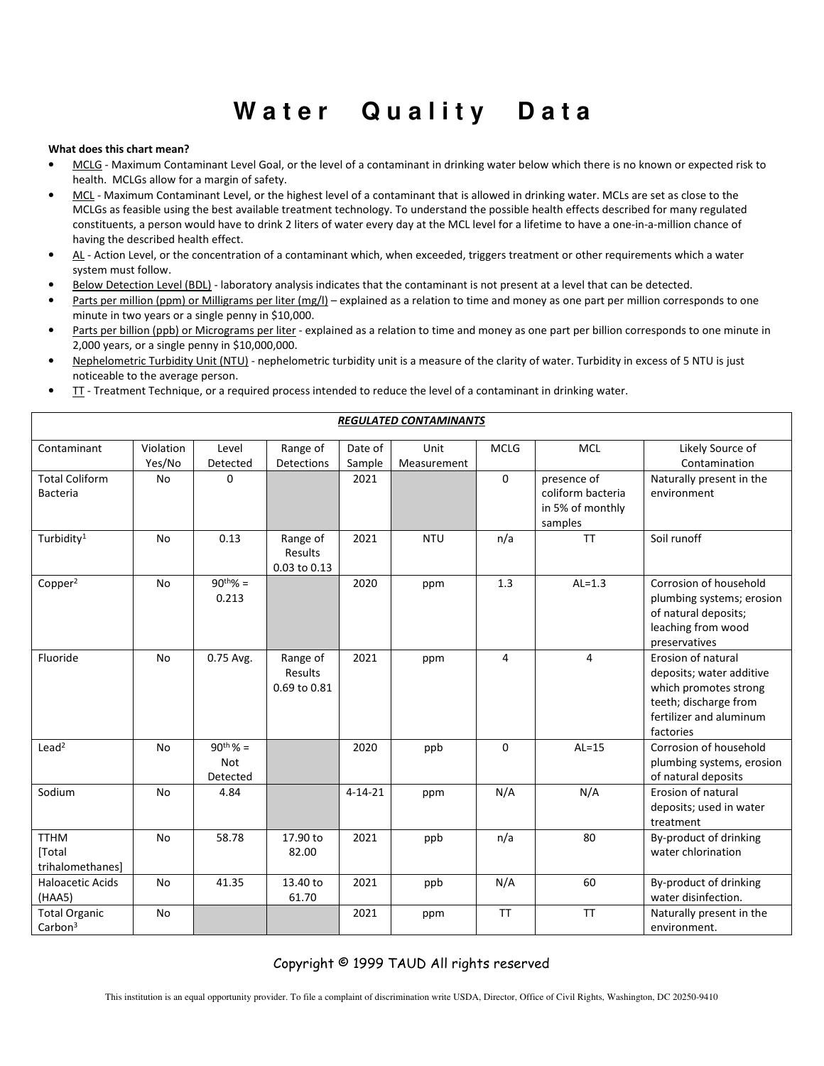# **Water Quality Data**

# **What does this chart mean?**

- MCLG Maximum Contaminant Level Goal, or the level of a contaminant in drinking water below which there is no known or expected risk to health. MCLGs allow for a margin of safety.
- MCL Maximum Contaminant Level, or the highest level of a contaminant that is allowed in drinking water. MCLs are set as close to the MCLGs as feasible using the best available treatment technology. To understand the possible health effects described for many regulated constituents, a person would have to drink 2 liters of water every day at the MCL level for a lifetime to have a one-in-a-million chance of having the described health effect.
- AL Action Level, or the concentration of a contaminant which, when exceeded, triggers treatment or other requirements which a water system must follow.
- Below Detection Level (BDL) laboratory analysis indicates that the contaminant is not present at a level that can be detected.
- Parts per million (ppm) or Milligrams per liter (mg/l) explained as a relation to time and money as one part per million corresponds to one minute in two years or a single penny in \$10,000.
- Parts per billion (ppb) or Micrograms per liter explained as a relation to time and money as one part per billion corresponds to one minute in 2,000 years, or a single penny in \$10,000,000.
- Nephelometric Turbidity Unit (NTU) nephelometric turbidity unit is a measure of the clarity of water. Turbidity in excess of 5 NTU is just noticeable to the average person.
- TT Treatment Technique, or a required process intended to reduce the level of a contaminant in drinking water.

| <b>REGULATED CONTAMINANTS</b>               |                     |                                         |                                     |                   |                     |                |                                                                 |                                                                                                                                          |  |  |
|---------------------------------------------|---------------------|-----------------------------------------|-------------------------------------|-------------------|---------------------|----------------|-----------------------------------------------------------------|------------------------------------------------------------------------------------------------------------------------------------------|--|--|
| Contaminant                                 | Violation<br>Yes/No | Level<br>Detected                       | Range of<br>Detections              | Date of<br>Sample | Unit<br>Measurement | <b>MCLG</b>    | <b>MCL</b>                                                      | Likely Source of<br>Contamination                                                                                                        |  |  |
| <b>Total Coliform</b><br><b>Bacteria</b>    | <b>No</b>           | $\Omega$                                |                                     | 2021              |                     | $\mathbf 0$    | presence of<br>coliform bacteria<br>in 5% of monthly<br>samples | Naturally present in the<br>environment                                                                                                  |  |  |
| Turbidity <sup>1</sup>                      | <b>No</b>           | 0.13                                    | Range of<br>Results<br>0.03 to 0.13 | 2021              | <b>NTU</b>          | n/a            | <b>TT</b>                                                       | Soil runoff                                                                                                                              |  |  |
| Copper <sup>2</sup>                         | <b>No</b>           | $90^{th}\% =$<br>0.213                  |                                     | 2020              | ppm                 | 1.3            | $AL=1.3$                                                        | Corrosion of household<br>plumbing systems; erosion<br>of natural deposits;<br>leaching from wood<br>preservatives                       |  |  |
| Fluoride                                    | <b>No</b>           | 0.75 Avg.                               | Range of<br>Results<br>0.69 to 0.81 | 2021              | ppm                 | $\overline{4}$ | 4                                                               | Erosion of natural<br>deposits; water additive<br>which promotes strong<br>teeth; discharge from<br>fertilizer and aluminum<br>factories |  |  |
| $L$ ead <sup>2</sup>                        | No                  | $90^{th}\% =$<br><b>Not</b><br>Detected |                                     | 2020              | ppb                 | $\Omega$       | $AL=15$                                                         | Corrosion of household<br>plumbing systems, erosion<br>of natural deposits                                                               |  |  |
| Sodium                                      | No                  | 4.84                                    |                                     | $4 - 14 - 21$     | ppm                 | N/A            | N/A                                                             | Erosion of natural<br>deposits; used in water<br>treatment                                                                               |  |  |
| <b>TTHM</b><br>[Total<br>trihalomethanes]   | <b>No</b>           | 58.78                                   | 17.90 to<br>82.00                   | 2021              | ppb                 | n/a            | 80                                                              | By-product of drinking<br>water chlorination                                                                                             |  |  |
| <b>Haloacetic Acids</b><br>(HAA5)           | <b>No</b>           | 41.35                                   | 13.40 to<br>61.70                   | 2021              | ppb                 | N/A            | 60                                                              | By-product of drinking<br>water disinfection.                                                                                            |  |  |
| <b>Total Organic</b><br>Carbon <sup>3</sup> | <b>No</b>           |                                         |                                     | 2021              | ppm                 | <b>TT</b>      | <b>TT</b>                                                       | Naturally present in the<br>environment.                                                                                                 |  |  |

Copyright © 1999 TAUD All rights reserved